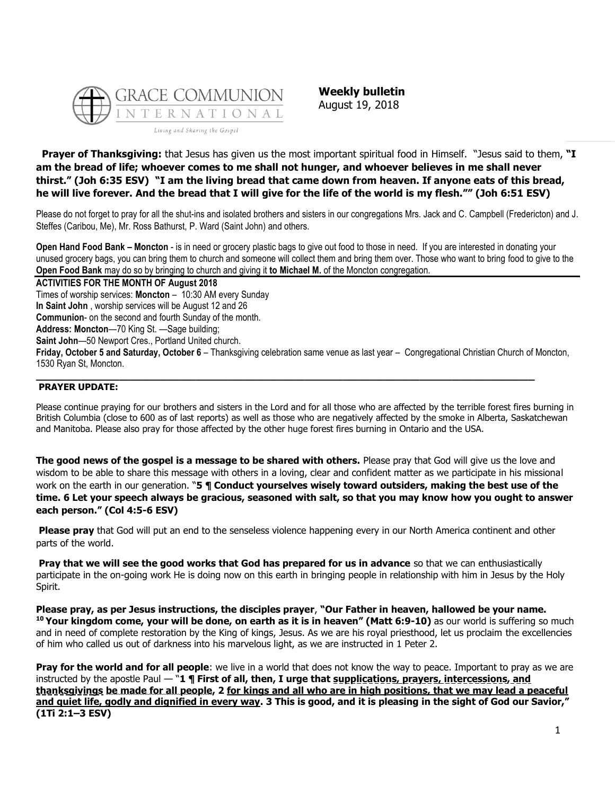

**Weekly bulletin** August 19, 2018

**Prayer of Thanksgiving:** that Jesus has given us the most important spiritual food in Himself. "Jesus said to them, **"I am the bread of life; whoever comes to me shall not hunger, and whoever believes in me shall never thirst." (Joh 6:35 ESV) "I am the living bread that came down from heaven. If anyone eats of this bread, he will live forever. And the bread that I will give for the life of the world is my flesh."" (Joh 6:51 ESV)**

Please do not forget to pray for all the shut-ins and isolated brothers and sisters in our congregations Mrs. Jack and C. Campbell (Fredericton) and J. Steffes (Caribou, Me), Mr. Ross Bathurst, P. Ward (Saint John) and others.

**Open Hand Food Bank – Moncton** - is in need or grocery plastic bags to give out food to those in need. If you are interested in donating your unused grocery bags, you can bring them to church and someone will collect them and bring them over. Those who want to bring food to give to the **Open Food Bank** may do so by bringing to church and giving it **to Michael M.** of the Moncton congregation.

**ACTIVITIES FOR THE MONTH OF August 2018** Times of worship services: **Moncton** – 10:30 AM every Sunday **In Saint John** , worship services will be August 12 and 26 **Communion**- on the second and fourth Sunday of the month. **Address: Moncton**—70 King St. —Sage building; **Saint John**—50 Newport Cres., Portland United church. **Friday, October 5 and Saturday, October 6** – Thanksgiving celebration same venue as last year – Congregational Christian Church of Moncton, 1530 Ryan St, Moncton.

### **PRAYER UPDATE:**

Please continue praying for our brothers and sisters in the Lord and for all those who are affected by the terrible forest fires burning in British Columbia (close to 600 as of last reports) as well as those who are negatively affected by the smoke in Alberta, Saskatchewan and Manitoba. Please also pray for those affected by the other huge forest fires burning in Ontario and the USA.

**\_\_\_\_\_\_\_\_\_\_\_\_\_\_\_\_\_\_\_\_\_\_\_\_\_\_\_\_\_\_\_\_\_\_\_\_\_\_\_\_\_\_\_\_\_\_\_\_\_\_\_\_\_\_\_\_\_\_\_\_\_\_\_\_\_\_\_\_\_\_\_\_\_\_\_\_\_\_**

**The good news of the gospel is a message to be shared with others.** Please pray that God will give us the love and wisdom to be able to share this message with others in a loving, clear and confident matter as we participate in his missional work on the earth in our generation. "**5 ¶ Conduct yourselves wisely toward outsiders, making the best use of the time. 6 Let your speech always be gracious, seasoned with salt, so that you may know how you ought to answer each person." (Col 4:5-6 ESV)**

**Please pray** that God will put an end to the senseless violence happening every in our North America continent and other parts of the world.

**Pray that we will see the good works that God has prepared for us in advance** so that we can enthusiastically participate in the on-going work He is doing now on this earth in bringing people in relationship with him in Jesus by the Holy Spirit.

**Please pray, as per Jesus instructions, the disciples prayer**, **"Our Father in heaven, hallowed be your name. <sup>10</sup> Your kingdom come, your will be done, on earth as it is in heaven" (Matt 6:9-10)** as our world is suffering so much and in need of complete restoration by the King of kings, Jesus. As we are his royal priesthood, let us proclaim the excellencies of him who called us out of darkness into his marvelous light, as we are instructed in 1 Peter 2.

**Pray for the world and for all people**: we live in a world that does not know the way to peace. Important to pray as we are instructed by the apostle Paul — "1 ¶ First of all, then, I urge that supplications, prayers, intercessions, and **thanksgivings be made for all people, 2 for kings and all who are in high positions, that we may lead a peaceful and quiet life, godly and dignified in every way. 3 This is good, and it is pleasing in the sight of God our Savior," (1Ti 2:1–3 ESV)**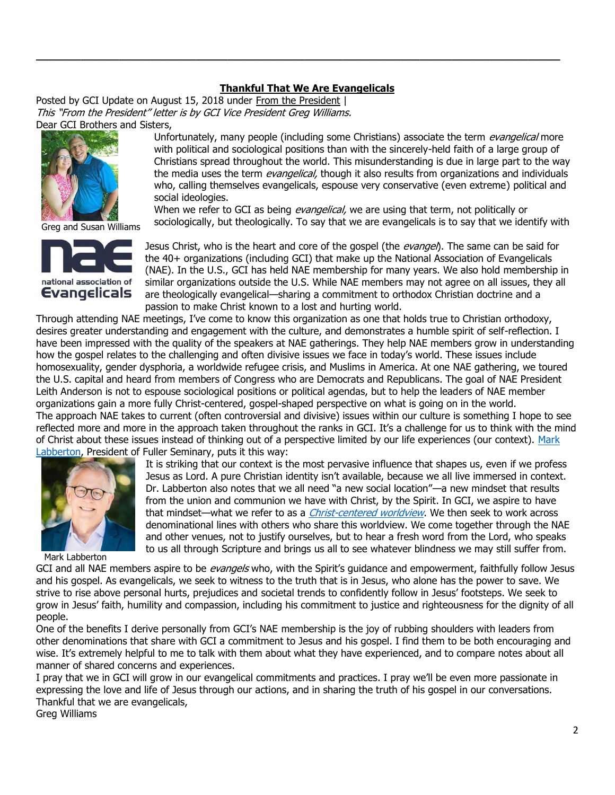# **[Thankful That We Are Evangelicals](https://update.gci.org/2018/08/thankful-that-we-are-evangelicals/)**

**\_\_\_\_\_\_\_\_\_\_\_\_\_\_\_\_\_\_\_\_\_\_\_\_\_\_\_\_\_\_\_\_\_\_\_\_\_\_\_\_\_\_\_\_\_\_\_\_\_\_\_\_\_\_\_\_\_\_\_\_\_\_\_\_\_\_\_\_\_\_\_\_\_\_\_\_\_\_\_\_\_\_**

Posted by GCI Update on August 15, 2018 under [From the President](https://update.gci.org/category/president/) | This "From the President" letter is by GCI Vice President Greg Williams. Dear GCI Brothers and Sisters,



Greg and Susan Williams



Unfortunately, many people (including some Christians) associate the term *evangelical* more with political and sociological positions than with the sincerely-held faith of a large group of Christians spread throughout the world. This misunderstanding is due in large part to the way the media uses the term *evangelical*, though it also results from organizations and individuals who, calling themselves evangelicals, espouse very conservative (even extreme) political and social ideologies.

When we refer to GCI as being *evangelical*, we are using that term, not politically or sociologically, but theologically. To say that we are evangelicals is to say that we identify with

Jesus Christ, who is the heart and core of the gospel (the *evangel*). The same can be said for the 40+ organizations (including GCI) that make up the National Association of Evangelicals (NAE). In the U.S., GCI has held NAE membership for many years. We also hold membership in similar organizations outside the U.S. While NAE members may not agree on all issues, they all are theologically evangelical—sharing a commitment to orthodox Christian doctrine and a passion to make Christ known to a lost and hurting world.

Through attending NAE meetings, I've come to know this organization as one that holds true to Christian orthodoxy, desires greater understanding and engagement with the culture, and demonstrates a humble spirit of self-reflection. I have been impressed with the quality of the speakers at NAE gatherings. They help NAE members grow in understanding how the gospel relates to the challenging and often divisive issues we face in today's world. These issues include homosexuality, gender dysphoria, a worldwide refugee crisis, and Muslims in America. At one NAE gathering, we toured the U.S. capital and heard from members of Congress who are Democrats and Republicans. The goal of NAE President Leith Anderson is not to espouse sociological positions or political agendas, but to help the leaders of NAE member organizations gain a more fully Christ-centered, gospel-shaped perspective on what is going on in the world. The approach NAE takes to current (often controversial and divisive) issues within our culture is something I hope to see reflected more and more in the approach taken throughout the ranks in GCI. It's a challenge for us to think with the mind of Christ about these issues instead of thinking out of a perspective limited by our life experiences (our context). [Mark](https://www.fuller.edu/faculty/mark-labberton/)  [Labberton,](https://www.fuller.edu/faculty/mark-labberton/) President of Fuller Seminary, puts it this way:



Mark Labberton

It is striking that our context is the most pervasive influence that shapes us, even if we profess Jesus as Lord. A pure Christian identity isn't available, because we all live immersed in context. Dr. Labberton also notes that we all need "a new social location"—a new mindset that results from the union and communion we have with Christ, by the Spirit. In GCI, we aspire to have that mindset—what we refer to as a *[Christ-centered worldview](https://equipper.gci.org/2018/08/worldview-what-it-is-why-it-matters)*. We then seek to work across denominational lines with others who share this worldview. We come together through the NAE and other venues, not to justify ourselves, but to hear a fresh word from the Lord, who speaks to us all through Scripture and brings us all to see whatever blindness we may still suffer from.

GCI and all NAE members aspire to be evangels who, with the Spirit's guidance and empowerment, faithfully follow Jesus and his gospel. As evangelicals, we seek to witness to the truth that is in Jesus, who alone has the power to save. We strive to rise above personal hurts, prejudices and societal trends to confidently follow in Jesus' footsteps. We seek to grow in Jesus' faith, humility and compassion, including his commitment to justice and righteousness for the dignity of all people.

One of the benefits I derive personally from GCI's NAE membership is the joy of rubbing shoulders with leaders from other denominations that share with GCI a commitment to Jesus and his gospel. I find them to be both encouraging and wise. It's extremely helpful to me to talk with them about what they have experienced, and to compare notes about all manner of shared concerns and experiences.

I pray that we in GCI will grow in our evangelical commitments and practices. I pray we'll be even more passionate in expressing the love and life of Jesus through our actions, and in sharing the truth of his gospel in our conversations. Thankful that we are evangelicals,

Greg Williams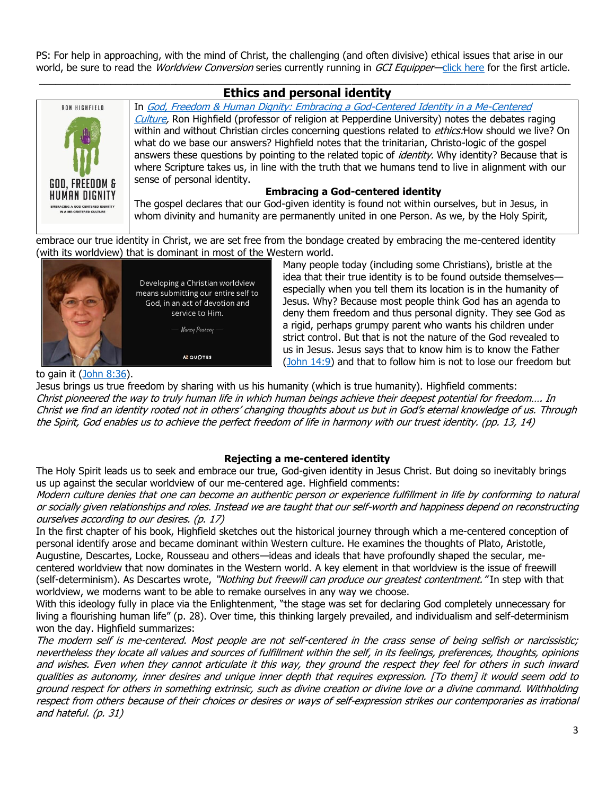PS: For help in approaching, with the mind of Christ, the challenging (and often divisive) ethical issues that arise in our world, be sure to read the *Worldview Conversion* series currently running in GCI Equipper—[click here](https://equipper.gci.org/2018/08/from-greg-worldview-conversion) for the first article.

## $\_$  ,  $\_$  ,  $\_$  ,  $\_$  ,  $\_$  ,  $\_$  ,  $\_$  ,  $\_$  ,  $\_$  ,  $\_$  ,  $\_$  ,  $\_$  ,  $\_$  ,  $\_$  ,  $\_$  ,  $\_$  ,  $\_$  ,  $\_$  ,  $\_$  ,  $\_$  ,  $\_$  ,  $\_$  ,  $\_$  ,  $\_$  ,  $\_$  ,  $\_$  ,  $\_$  ,  $\_$  ,  $\_$  ,  $\_$  ,  $\_$  ,  $\_$  ,  $\_$  ,  $\_$  ,  $\_$  ,  $\_$  ,  $\_$  , **Ethics and personal identity**



In [God, Freedom & Human Dignity: Embracing a God-Centered Identity in a Me-Centered](https://books.google.com/books?id=yqja1rjsqd8C&printsec=frontcover#v=onepage&q&f=false)  [Culture,](https://books.google.com/books?id=yqja1rjsqd8C&printsec=frontcover#v=onepage&q&f=false) Ron Highfield (professor of religion at Pepperdine University) notes the debates raging within and without Christian circles concerning questions related to *ethics:*How should we live? On what do we base our answers? Highfield notes that the trinitarian, Christo-logic of the gospel answers these questions by pointing to the related topic of *identity*. Why identity? Because that is where Scripture takes us, in line with the truth that we humans tend to live in alignment with our sense of personal identity.

### **Embracing a God-centered identity**

The gospel declares that our God-given identity is found not within ourselves, but in Jesus, in whom divinity and humanity are permanently united in one Person. As we, by the Holy Spirit,

embrace our true identity in Christ, we are set free from the bondage created by embracing the me-centered identity (with its worldview) that is dominant in most of the Western world.



Many people today (including some Christians), bristle at the idea that their true identity is to be found outside themselves especially when you tell them its location is in the humanity of Jesus. Why? Because most people think God has an agenda to deny them freedom and thus personal dignity. They see God as a rigid, perhaps grumpy parent who wants his children under strict control. But that is not the nature of the God revealed to us in Jesus. Jesus says that to know him is to know the Father [\(John 14:9\)](https://biblia.com/bible/niv/John%2014.9) and that to follow him is not to lose our freedom but

to gain it [\(John 8:36\)](https://biblia.com/bible/niv/John%208.36).

Jesus brings us true freedom by sharing with us his humanity (which is true humanity). Highfield comments: Christ pioneered the way to truly human life in which human beings achieve their deepest potential for freedom…. In Christ we find an identity rooted not in others' changing thoughts about us but in God's eternal knowledge of us. Through the Spirit, God enables us to achieve the perfect freedom of life in harmony with our truest identity. (pp. 13, 14)

# **Rejecting a me-centered identity**

The Holy Spirit leads us to seek and embrace our true, God-given identity in Jesus Christ. But doing so inevitably brings us up against the secular worldview of our me-centered age. Highfield comments:

Modern culture denies that one can become an authentic person or experience fulfillment in life by conforming to natural or socially given relationships and roles. Instead we are taught that our self-worth and happiness depend on reconstructing ourselves according to our desires. (p. 17)

In the first chapter of his book, Highfield sketches out the historical journey through which a me-centered conception of personal identify arose and became dominant within Western culture. He examines the thoughts of Plato, Aristotle, Augustine, Descartes, Locke, Rousseau and others—ideas and ideals that have profoundly shaped the secular, mecentered worldview that now dominates in the Western world. A key element in that worldview is the issue of freewill (self-determinism). As Descartes wrote, "Nothing but freewill can produce our greatest contentment." In step with that worldview, we moderns want to be able to remake ourselves in any way we choose.

With this ideology fully in place via the Enlightenment, "the stage was set for declaring God completely unnecessary for living a flourishing human life" (p. 28). Over time, this thinking largely prevailed, and individualism and self-determinism won the day. Highfield summarizes:

The modern self is me-centered. Most people are not self-centered in the crass sense of being selfish or narcissistic; nevertheless they locate all values and sources of fulfillment within the self, in its feelings, preferences, thoughts, opinions and wishes. Even when they cannot articulate it this way, they ground the respect they feel for others in such inward qualities as autonomy, inner desires and unique inner depth that requires expression. [To them] it would seem odd to ground respect for others in something extrinsic, such as divine creation or divine love or a divine command. Withholding respect from others because of their choices or desires or ways of self-expression strikes our contemporaries as irrational and hateful. (p. 31)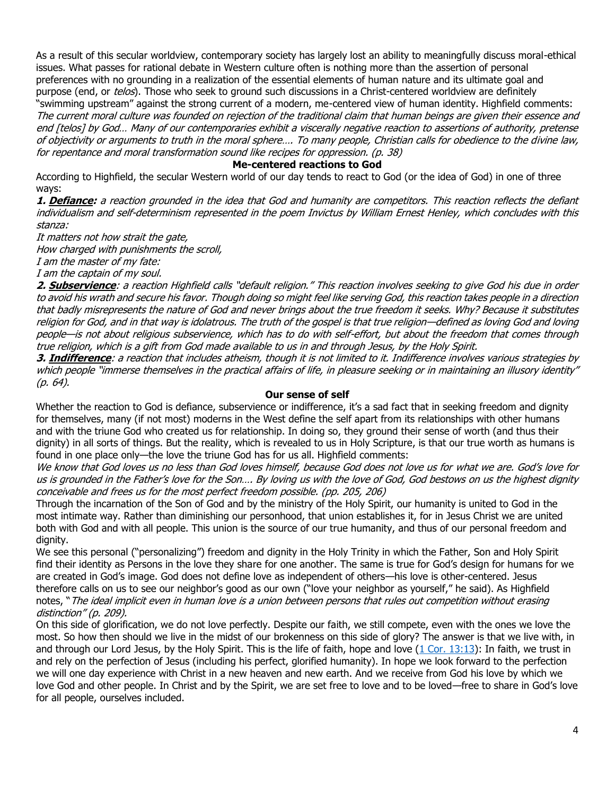As a result of this secular worldview, contemporary society has largely lost an ability to meaningfully discuss moral-ethical issues. What passes for rational debate in Western culture often is nothing more than the assertion of personal preferences with no grounding in a realization of the essential elements of human nature and its ultimate goal and purpose (end, or telos). Those who seek to ground such discussions in a Christ-centered worldview are definitely "swimming upstream" against the strong current of a modern, me-centered view of human identity. Highfield comments: The current moral culture was founded on rejection of the traditional claim that human beings are given their essence and end [telos] by God… Many of our contemporaries exhibit a viscerally negative reaction to assertions of authority, pretense of objectivity or arguments to truth in the moral sphere…. To many people, Christian calls for obedience to the divine law, for repentance and moral transformation sound like recipes for oppression. (p. 38)

### **Me-centered reactions to God**

According to Highfield, the secular Western world of our day tends to react to God (or the idea of God) in one of three ways:

**1. Defiance:** a reaction grounded in the idea that God and humanity are competitors. This reaction reflects the defiant individualism and self-determinism represented in the poem Invictus by William Ernest Henley, which concludes with this stanza:

It matters not how strait the gate,

How charged with punishments the scroll,

I am the master of my fate:

I am the captain of my soul.

**2. Subservience**: a reaction Highfield calls "default religion." This reaction involves seeking to give God his due in order to avoid his wrath and secure his favor. Though doing so might feel like serving God, this reaction takes people in a direction that badly misrepresents the nature of God and never brings about the true freedom it seeks. Why? Because it substitutes religion for God, and in that way is idolatrous. The truth of the gospel is that true religion—defined as loving God and loving people—is not about religious subservience, which has to do with self-effort, but about the freedom that comes through true religion, which is a gift from God made available to us in and through Jesus, by the Holy Spirit.

**3. Indifference**: a reaction that includes atheism, though it is not limited to it. Indifference involves various strategies by which people "immerse themselves in the practical affairs of life, in pleasure seeking or in maintaining an illusory identity" (p. 64).

### **Our sense of self**

Whether the reaction to God is defiance, subservience or indifference, it's a sad fact that in seeking freedom and dignity for themselves, many (if not most) moderns in the West define the self apart from its relationships with other humans and with the triune God who created us for relationship. In doing so, they ground their sense of worth (and thus their dignity) in all sorts of things. But the reality, which is revealed to us in Holy Scripture, is that our true worth as humans is found in one place only—the love the triune God has for us all. Highfield comments:

We know that God loves us no less than God loves himself, because God does not love us for what we are. God's love for us is grounded in the Father's love for the Son…. By loving us with the love of God, God bestows on us the highest dignity conceivable and frees us for the most perfect freedom possible. (pp. 205, 206)

Through the incarnation of the Son of God and by the ministry of the Holy Spirit, our humanity is united to God in the most intimate way. Rather than diminishing our personhood, that union establishes it, for in Jesus Christ we are united both with God and with all people. This union is the source of our true humanity, and thus of our personal freedom and dignity.

We see this personal ("personalizing") freedom and dignity in the Holy Trinity in which the Father, Son and Holy Spirit find their identity as Persons in the love they share for one another. The same is true for God's design for humans for we are created in God's image. God does not define love as independent of others—his love is other-centered. Jesus therefore calls on us to see our neighbor's good as our own ("love your neighbor as yourself," he said). As Highfield notes, "The ideal implicit even in human love is a union between persons that rules out competition without erasing distinction" (p. 209).

On this side of glorification, we do not love perfectly. Despite our faith, we still compete, even with the ones we love the most. So how then should we live in the midst of our brokenness on this side of glory? The answer is that we live with, in and through our Lord Jesus, by the Holy Spirit. This is the life of faith, hope and love [\(1 Cor. 13:13\)](https://biblia.com/bible/niv/1%20Cor.%2013.13): In faith, we trust in and rely on the perfection of Jesus (including his perfect, glorified humanity). In hope we look forward to the perfection we will one day experience with Christ in a new heaven and new earth. And we receive from God his love by which we love God and other people. In Christ and by the Spirit, we are set free to love and to be loved—free to share in God's love for all people, ourselves included.